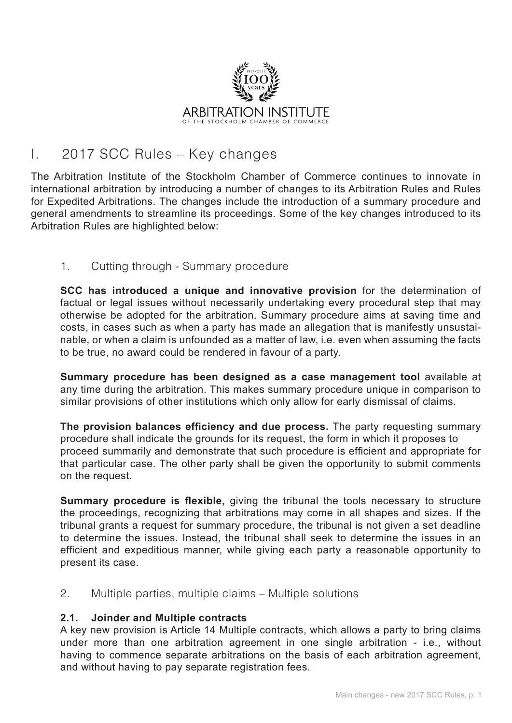

# I. 2017 SCC Rules – Key changes

The Arbitration Institute of the Stockholm Chamber of Commerce continues to innovate in international arbitration by introducing a number of changes to its Arbitration Rules and Rules for Expedited Arbitrations. The changes include the introduction of a summary procedure and general amendments to streamline its proceedings. Some of the key changes introduced to its Arbitration Rules are highlighted below:

## 1. Cutting through - Summary procedure

**SCC has introduced a unique and innovative provision** for the determination of factual or legal issues without necessarily undertaking every procedural step that may otherwise be adopted for the arbitration. Summary procedure aims at saving time and costs, in cases such as when a party has made an allegation that is manifestly unsustainable, or when a claim is unfounded as a matter of law, i.e. even when assuming the facts to be true, no award could be rendered in favour of a party.

**Summary procedure has been designed as a case management tool** available at any time during the arbitration. This makes summary procedure unique in comparison to similar provisions of other institutions which only allow for early dismissal of claims.

**The provision balances efficiency and due process.** The party requesting summary procedure shall indicate the grounds for its request, the form in which it proposes to proceed summarily and demonstrate that such procedure is efficient and appropriate for that particular case. The other party shall be given the opportunity to submit comments on the request.

**Summary procedure is flexible,** giving the tribunal the tools necessary to structure the proceedings, recognizing that arbitrations may come in all shapes and sizes. If the tribunal grants a request for summary procedure, the tribunal is not given a set deadline to determine the issues. Instead, the tribunal shall seek to determine the issues in an efficient and expeditious manner, while giving each party a reasonable opportunity to present its case.

2. Multiple parties, multiple claims – Multiple solutions

#### **2.1. Joinder and Multiple contracts**

A key new provision is Article 14 Multiple contracts, which allows a party to bring claims under more than one arbitration agreement in one single arbitration - i.e., without having to commence separate arbitrations on the basis of each arbitration agreement, and without having to pay separate registration fees.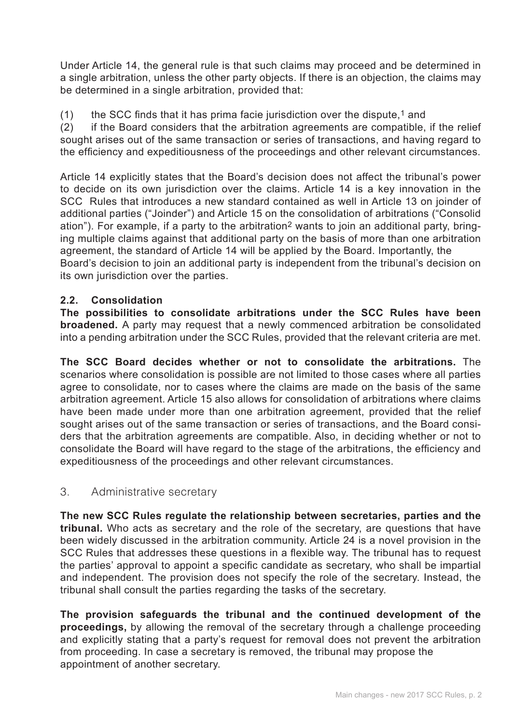Under Article 14, the general rule is that such claims may proceed and be determined in a single arbitration, unless the other party objects. If there is an objection, the claims may be determined in a single arbitration, provided that:

(1) the SCC finds that it has prima facie jurisdiction over the dispute,<sup>1</sup> and

(2) if the Board considers that the arbitration agreements are compatible, if the relief sought arises out of the same transaction or series of transactions, and having regard to the efficiency and expeditiousness of the proceedings and other relevant circumstances.

Article 14 explicitly states that the Board's decision does not affect the tribunal's power to decide on its own jurisdiction over the claims. Article 14 is a key innovation in the SCC Rules that introduces a new standard contained as well in Article 13 on joinder of additional parties ("Joinder") and Article 15 on the consolidation of arbitrations ("Consolid ation"). For example, if a party to the arbitration<sup>2</sup> wants to join an additional party, bringing multiple claims against that additional party on the basis of more than one arbitration agreement, the standard of Article 14 will be applied by the Board. Importantly, the Board's decision to join an additional party is independent from the tribunal's decision on its own jurisdiction over the parties.

## **2.2. Consolidation**

**The possibilities to consolidate arbitrations under the SCC Rules have been broadened.** A party may request that a newly commenced arbitration be consolidated into a pending arbitration under the SCC Rules, provided that the relevant criteria are met.

**The SCC Board decides whether or not to consolidate the arbitrations.** The scenarios where consolidation is possible are not limited to those cases where all parties agree to consolidate, nor to cases where the claims are made on the basis of the same arbitration agreement. Article 15 also allows for consolidation of arbitrations where claims have been made under more than one arbitration agreement, provided that the relief sought arises out of the same transaction or series of transactions, and the Board considers that the arbitration agreements are compatible. Also, in deciding whether or not to consolidate the Board will have regard to the stage of the arbitrations, the efficiency and expeditiousness of the proceedings and other relevant circumstances.

## 3. Administrative secretary

**The new SCC Rules regulate the relationship between secretaries, parties and the tribunal.** Who acts as secretary and the role of the secretary, are questions that have been widely discussed in the arbitration community. Article 24 is a novel provision in the SCC Rules that addresses these questions in a flexible way. The tribunal has to request the parties' approval to appoint a specific candidate as secretary, who shall be impartial and independent. The provision does not specify the role of the secretary. Instead, the tribunal shall consult the parties regarding the tasks of the secretary.

**The provision safeguards the tribunal and the continued development of the proceedings,** by allowing the removal of the secretary through a challenge proceeding and explicitly stating that a party's request for removal does not prevent the arbitration from proceeding. In case a secretary is removed, the tribunal may propose the appointment of another secretary.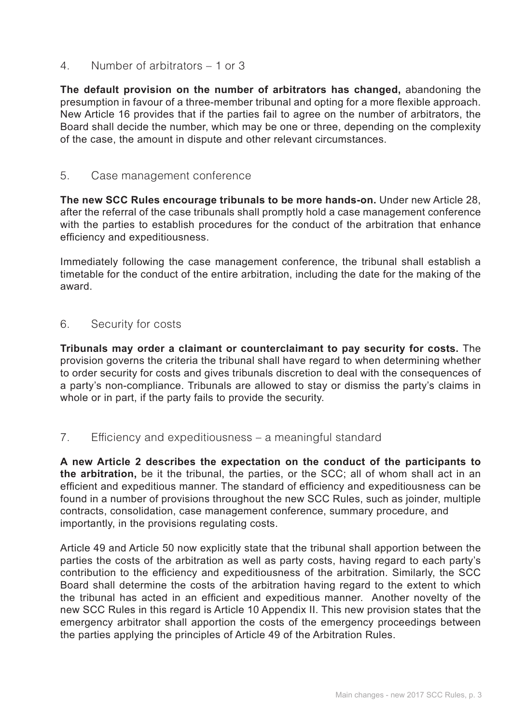4. Number of arbitrators – 1 or 3

**The default provision on the number of arbitrators has changed,** abandoning the presumption in favour of a three-member tribunal and opting for a more flexible approach. New Article 16 provides that if the parties fail to agree on the number of arbitrators, the Board shall decide the number, which may be one or three, depending on the complexity of the case, the amount in dispute and other relevant circumstances.

#### 5. Case management conference

**The new SCC Rules encourage tribunals to be more hands-on.** Under new Article 28, after the referral of the case tribunals shall promptly hold a case management conference with the parties to establish procedures for the conduct of the arbitration that enhance efficiency and expeditiousness.

Immediately following the case management conference, the tribunal shall establish a timetable for the conduct of the entire arbitration, including the date for the making of the award.

#### 6. Security for costs

**Tribunals may order a claimant or counterclaimant to pay security for costs.** The provision governs the criteria the tribunal shall have regard to when determining whether to order security for costs and gives tribunals discretion to deal with the consequences of a party's non-compliance. Tribunals are allowed to stay or dismiss the party's claims in whole or in part, if the party fails to provide the security.

#### 7. Efficiency and expeditiousness – a meaningful standard

**A new Article 2 describes the expectation on the conduct of the participants to the arbitration,** be it the tribunal, the parties, or the SCC; all of whom shall act in an efficient and expeditious manner. The standard of efficiency and expeditiousness can be found in a number of provisions throughout the new SCC Rules, such as joinder, multiple contracts, consolidation, case management conference, summary procedure, and importantly, in the provisions regulating costs.

Article 49 and Article 50 now explicitly state that the tribunal shall apportion between the parties the costs of the arbitration as well as party costs, having regard to each party's contribution to the efficiency and expeditiousness of the arbitration. Similarly, the SCC Board shall determine the costs of the arbitration having regard to the extent to which the tribunal has acted in an efficient and expeditious manner. Another novelty of the new SCC Rules in this regard is Article 10 Appendix II. This new provision states that the emergency arbitrator shall apportion the costs of the emergency proceedings between the parties applying the principles of Article 49 of the Arbitration Rules.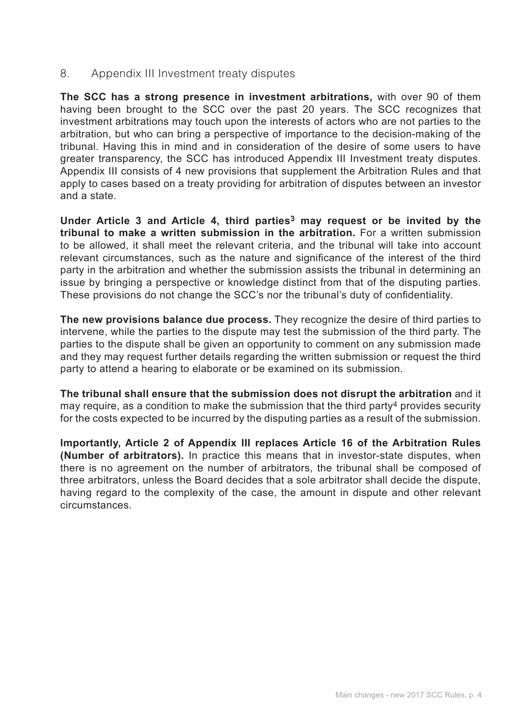8. Appendix III Investment treaty disputes

**The SCC has a strong presence in investment arbitrations,** with over 90 of them having been brought to the SCC over the past 20 years. The SCC recognizes that investment arbitrations may touch upon the interests of actors who are not parties to the arbitration, but who can bring a perspective of importance to the decision-making of the tribunal. Having this in mind and in consideration of the desire of some users to have greater transparency, the SCC has introduced Appendix III Investment treaty disputes. Appendix III consists of 4 new provisions that supplement the Arbitration Rules and that apply to cases based on a treaty providing for arbitration of disputes between an investor and a state.

**Under Article 3 and Article 4, third parties3 may request or be invited by the tribunal to make a written submission in the arbitration.** For a written submission to be allowed, it shall meet the relevant criteria, and the tribunal will take into account relevant circumstances, such as the nature and significance of the interest of the third party in the arbitration and whether the submission assists the tribunal in determining an issue by bringing a perspective or knowledge distinct from that of the disputing parties. These provisions do not change the SCC's nor the tribunal's duty of confidentiality.

**The new provisions balance due process.** They recognize the desire of third parties to intervene, while the parties to the dispute may test the submission of the third party. The parties to the dispute shall be given an opportunity to comment on any submission made and they may request further details regarding the written submission or request the third party to attend a hearing to elaborate or be examined on its submission.

**The tribunal shall ensure that the submission does not disrupt the arbitration** and it may require, as a condition to make the submission that the third party4 provides security for the costs expected to be incurred by the disputing parties as a result of the submission.

**Importantly, Article 2 of Appendix III replaces Article 16 of the Arbitration Rules (Number of arbitrators).** In practice this means that in investor-state disputes, when there is no agreement on the number of arbitrators, the tribunal shall be composed of three arbitrators, unless the Board decides that a sole arbitrator shall decide the dispute, having regard to the complexity of the case, the amount in dispute and other relevant circumstances.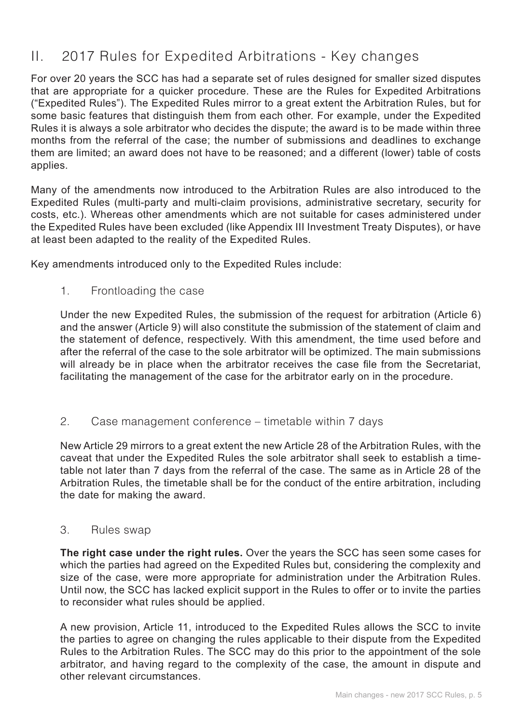# II. 2017 Rules for Expedited Arbitrations - Key changes

For over 20 years the SCC has had a separate set of rules designed for smaller sized disputes that are appropriate for a quicker procedure. These are the Rules for Expedited Arbitrations ("Expedited Rules"). The Expedited Rules mirror to a great extent the Arbitration Rules, but for some basic features that distinguish them from each other. For example, under the Expedited Rules it is always a sole arbitrator who decides the dispute; the award is to be made within three months from the referral of the case; the number of submissions and deadlines to exchange them are limited; an award does not have to be reasoned; and a different (lower) table of costs applies.

Many of the amendments now introduced to the Arbitration Rules are also introduced to the Expedited Rules (multi-party and multi-claim provisions, administrative secretary, security for costs, etc.). Whereas other amendments which are not suitable for cases administered under the Expedited Rules have been excluded (like Appendix III Investment Treaty Disputes), or have at least been adapted to the reality of the Expedited Rules.

Key amendments introduced only to the Expedited Rules include:

1. Frontloading the case

Under the new Expedited Rules, the submission of the request for arbitration (Article 6) and the answer (Article 9) will also constitute the submission of the statement of claim and the statement of defence, respectively. With this amendment, the time used before and after the referral of the case to the sole arbitrator will be optimized. The main submissions will already be in place when the arbitrator receives the case file from the Secretariat, facilitating the management of the case for the arbitrator early on in the procedure.

2. Case management conference – timetable within 7 days

New Article 29 mirrors to a great extent the new Article 28 of the Arbitration Rules, with the caveat that under the Expedited Rules the sole arbitrator shall seek to establish a timetable not later than 7 days from the referral of the case. The same as in Article 28 of the Arbitration Rules, the timetable shall be for the conduct of the entire arbitration, including the date for making the award.

3. Rules swap

**The right case under the right rules.** Over the years the SCC has seen some cases for which the parties had agreed on the Expedited Rules but, considering the complexity and size of the case, were more appropriate for administration under the Arbitration Rules. Until now, the SCC has lacked explicit support in the Rules to offer or to invite the parties to reconsider what rules should be applied.

A new provision, Article 11, introduced to the Expedited Rules allows the SCC to invite the parties to agree on changing the rules applicable to their dispute from the Expedited Rules to the Arbitration Rules. The SCC may do this prior to the appointment of the sole arbitrator, and having regard to the complexity of the case, the amount in dispute and other relevant circumstances.